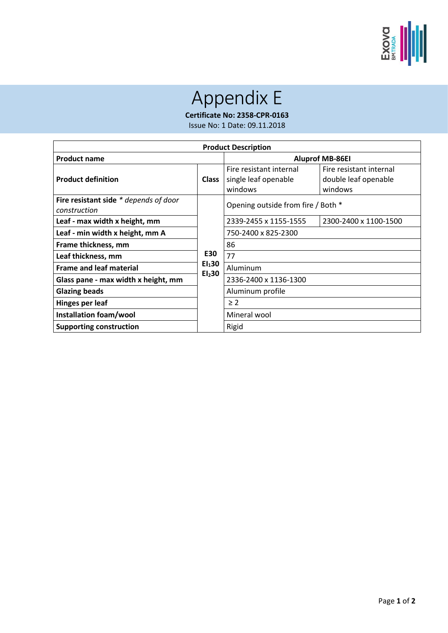

## Appendix E

**Certificate No: 2358-CPR-0163**

Issue No: 1 Date: 09.11.2018

| <b>Product Description</b>                            |                                          |                                                            |                                                            |  |  |
|-------------------------------------------------------|------------------------------------------|------------------------------------------------------------|------------------------------------------------------------|--|--|
| <b>Product name</b>                                   |                                          | <b>Aluprof MB-86EI</b>                                     |                                                            |  |  |
| <b>Product definition</b>                             | <b>Class</b>                             | Fire resistant internal<br>single leaf openable<br>windows | Fire resistant internal<br>double leaf openable<br>windows |  |  |
| Fire resistant side * depends of door<br>construction |                                          | Opening outside from fire / Both *                         |                                                            |  |  |
| Leaf - max width x height, mm                         |                                          | 2339-2455 x 1155-1555                                      | 2300-2400 x 1100-1500                                      |  |  |
| Leaf - min width x height, mm A                       |                                          | 750-2400 x 825-2300                                        |                                                            |  |  |
| Frame thickness, mm                                   |                                          | 86                                                         |                                                            |  |  |
| Leaf thickness, mm                                    | E30                                      | 77                                                         |                                                            |  |  |
| <b>Frame and leaf material</b>                        | EI <sub>1</sub> 30<br>EI <sub>2</sub> 30 | Aluminum                                                   |                                                            |  |  |
| Glass pane - max width x height, mm                   |                                          | 2336-2400 x 1136-1300                                      |                                                            |  |  |
| <b>Glazing beads</b>                                  |                                          | Aluminum profile                                           |                                                            |  |  |
| Hinges per leaf                                       |                                          | $\geq 2$                                                   |                                                            |  |  |
| Installation foam/wool                                |                                          | Mineral wool                                               |                                                            |  |  |
| <b>Supporting construction</b>                        |                                          | Rigid                                                      |                                                            |  |  |